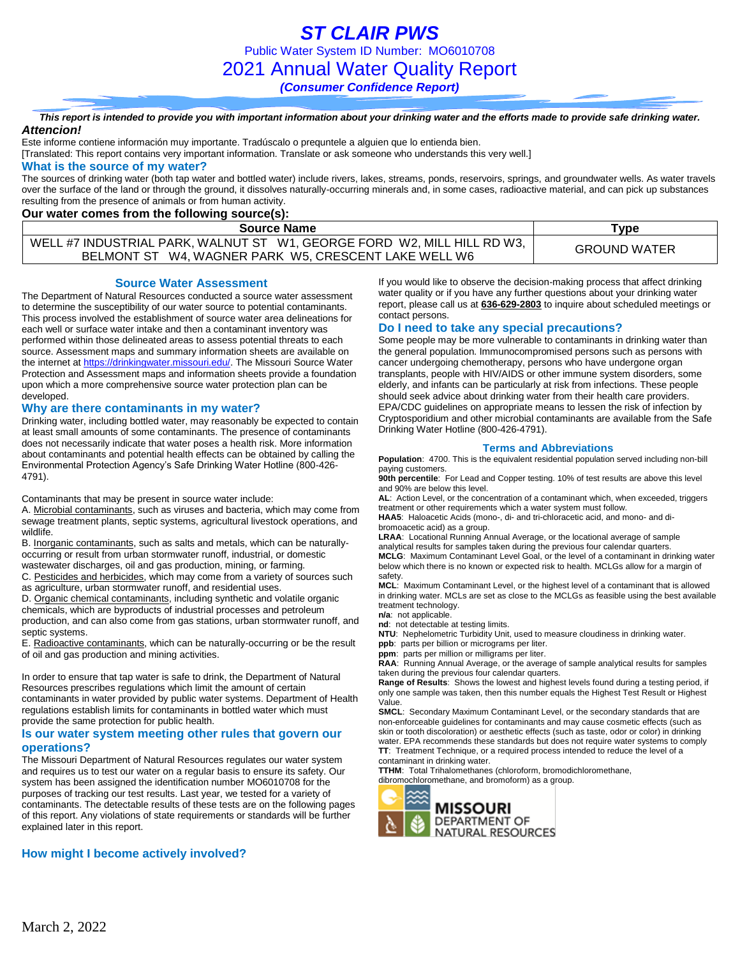*This report is intended to provide you with important information about your drinking water and the efforts made to provide safe drinking water. Attencion!*

Este informe contiene información muy importante. Tradúscalo o prequntele a alguien que lo entienda bien.

[Translated: This report contains very important information. Translate or ask someone who understands this very well.]

#### **What is the source of my water?**

The sources of drinking water (both tap water and bottled water) include rivers, lakes, streams, ponds, reservoirs, springs, and groundwater wells. As water travels over the surface of the land or through the ground, it dissolves naturally-occurring minerals and, in some cases, radioactive material, and can pick up substances resulting from the presence of animals or from human activity.

### **Our water comes from the following source(s):**

| <b>Source Name</b>                                                                                                              | $\tau$ vpe          |
|---------------------------------------------------------------------------------------------------------------------------------|---------------------|
| WELL #7 INDUSTRIAL PARK, WALNUT ST W1, GEORGE FORD W2, MILL HILL RD W3,<br>BELMONT ST W4, WAGNER PARK W5, CRESCENT LAKE WELL W6 | <b>GROUND WATER</b> |

#### **Source Water Assessment**

The Department of Natural Resources conducted a source water assessment to determine the susceptibility of our water source to potential contaminants. This process involved the establishment of source water area delineations for each well or surface water intake and then a contaminant inventory was performed within those delineated areas to assess potential threats to each source. Assessment maps and summary information sheets are available on the internet a[t https://drinkingwater.missouri.edu/.](https://drinkingwater.missouri.edu/) The Missouri Source Water Protection and Assessment maps and information sheets provide a foundation upon which a more comprehensive source water protection plan can be developed.

### **Why are there contaminants in my water?**

Drinking water, including bottled water, may reasonably be expected to contain at least small amounts of some contaminants. The presence of contaminants does not necessarily indicate that water poses a health risk. More information about contaminants and potential health effects can be obtained by calling the Environmental Protection Agency's Safe Drinking Water Hotline (800-426- 4791).

Contaminants that may be present in source water include:

A. Microbial contaminants, such as viruses and bacteria, which may come from sewage treatment plants, septic systems, agricultural livestock operations, and wildlife.

B. Inorganic contaminants, such as salts and metals, which can be naturallyoccurring or result from urban stormwater runoff, industrial, or domestic

wastewater discharges, oil and gas production, mining, or farming. C. Pesticides and herbicides, which may come from a variety of sources such as agriculture, urban stormwater runoff, and residential uses.

D. Organic chemical contaminants, including synthetic and volatile organic chemicals, which are byproducts of industrial processes and petroleum production, and can also come from gas stations, urban stormwater runoff, and septic systems.

E. Radioactive contaminants, which can be naturally-occurring or be the result of oil and gas production and mining activities.

In order to ensure that tap water is safe to drink, the Department of Natural Resources prescribes regulations which limit the amount of certain contaminants in water provided by public water systems. Department of Health regulations establish limits for contaminants in bottled water which must provide the same protection for public health.

### **Is our water system meeting other rules that govern our operations?**

The Missouri Department of Natural Resources regulates our water system and requires us to test our water on a regular basis to ensure its safety. Our system has been assigned the identification number MO6010708 for the purposes of tracking our test results. Last year, we tested for a variety of contaminants. The detectable results of these tests are on the following pages of this report. Any violations of state requirements or standards will be further explained later in this report.

### **How might I become actively involved?**

If you would like to observe the decision-making process that affect drinking water quality or if you have any further questions about your drinking water report, please call us at **636-629-2803** to inquire about scheduled meetings or contact persons.

### **Do I need to take any special precautions?**

Some people may be more vulnerable to contaminants in drinking water than the general population. Immunocompromised persons such as persons with cancer undergoing chemotherapy, persons who have undergone organ transplants, people with HIV/AIDS or other immune system disorders, some elderly, and infants can be particularly at risk from infections. These people should seek advice about drinking water from their health care providers. EPA/CDC guidelines on appropriate means to lessen the risk of infection by Cryptosporidium and other microbial contaminants are available from the Safe Drinking Water Hotline (800-426-4791).

#### **Terms and Abbreviations**

**Population**: 4700. This is the equivalent residential population served including non-bill paying customers.

**90th percentile**: For Lead and Copper testing. 10% of test results are above this level and 90% are below this level.

**AL**: Action Level, or the concentration of a contaminant which, when exceeded, triggers treatment or other requirements which a water system must follow.

**HAA5**: Haloacetic Acids (mono-, di- and tri-chloracetic acid, and mono- and dibromoacetic acid) as a group.

**LRAA**: Locational Running Annual Average, or the locational average of sample analytical results for samples taken during the previous four calendar quarters. **MCLG**: Maximum Contaminant Level Goal, or the level of a contaminant in drinking water below which there is no known or expected risk to health. MCLGs allow for a margin of safety.

**MCL**: Maximum Contaminant Level, or the highest level of a contaminant that is allowed in drinking water. MCLs are set as close to the MCLGs as feasible using the best available treatment technology.

**n/a**: not applicable.

**nd**: not detectable at testing limits.

**NTU**: Nephelometric Turbidity Unit, used to measure cloudiness in drinking water.

**ppb**: parts per billion or micrograms per liter. **ppm**: parts per million or milligrams per liter.

**RAA**: Running Annual Average, or the average of sample analytical results for samples taken during the previous four calendar quarters.

**Range of Results**: Shows the lowest and highest levels found during a testing period, if only one sample was taken, then this number equals the Highest Test Result or Highest Value.

**SMCL**: Secondary Maximum Contaminant Level, or the secondary standards that are non-enforceable guidelines for contaminants and may cause cosmetic effects (such as skin or tooth discoloration) or aesthetic effects (such as taste, odor or color) in drinking water. EPA recommends these standards but does not require water systems to comply **TT**: Treatment Technique, or a required process intended to reduce the level of a contaminant in drinking water.

**TTHM**: Total Trihalomethanes (chloroform, bromodichloromethane,

dibromochloromethane, and bromoform) as a group.

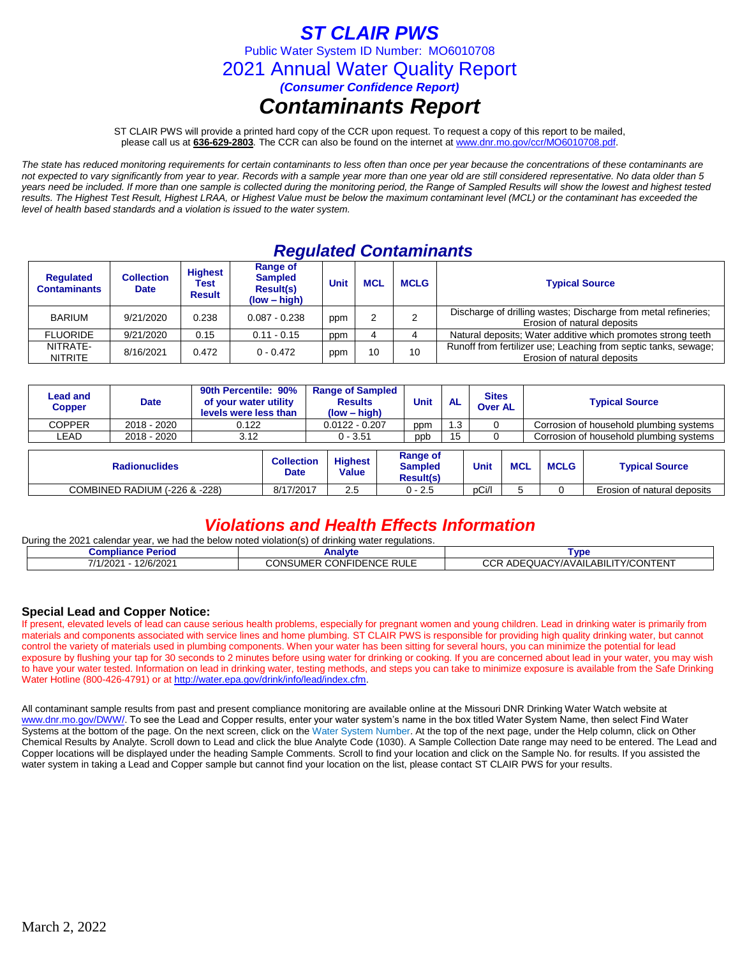## *ST CLAIR PWS*

Public Water System ID Number: MO6010708

2021 Annual Water Quality Report

*(Consumer Confidence Report)*

# *Contaminants Report*

ST CLAIR PWS will provide a printed hard copy of the CCR upon request. To request a copy of this report to be mailed, please call us at **636-629-2803***.* The CCR can also be found on the internet at www.dnr.mo.gov/ccr/MO6010708.pdf.

*The state has reduced monitoring requirements for certain contaminants to less often than once per year because the concentrations of these contaminants are not expected to vary significantly from year to year. Records with a sample year more than one year old are still considered representative. No data older than 5 years need be included. If more than one sample is collected during the monitoring period, the Range of Sampled Results will show the lowest and highest tested results. The Highest Test Result, Highest LRAA, or Highest Value must be below the maximum contaminant level (MCL) or the contaminant has exceeded the level of health based standards and a violation is issued to the water system.* 

## *Regulated Contaminants*

| <b>Regulated</b><br><b>Contaminants</b> | <b>Collection</b><br><b>Date</b> | <b>Highest</b><br>Test<br><b>Result</b> | Range of<br><b>Sampled</b><br>Result(s)<br>$(low - high)$ | <b>Unit</b> | <b>MCL</b> | <b>MCLG</b> | <b>Typical Source</b>                                                                          |
|-----------------------------------------|----------------------------------|-----------------------------------------|-----------------------------------------------------------|-------------|------------|-------------|------------------------------------------------------------------------------------------------|
| <b>BARIUM</b>                           | 9/21/2020                        | 0.238                                   | $0.087 - 0.238$                                           |             |            | ◠           | Discharge of drilling wastes; Discharge from metal refineries;<br>Erosion of natural deposits  |
| <b>FLUORIDE</b>                         | 9/21/2020                        | 0.15                                    | $0.11 - 0.15$                                             | ppm         |            |             | Natural deposits; Water additive which promotes strong teeth                                   |
| NITRATE-<br><b>NITRITE</b>              | 8/16/2021                        | 0.472                                   | $0 - 0.472$                                               | ppm         | 10         | 10          | Runoff from fertilizer use; Leaching from septic tanks, sewage;<br>Erosion of natural deposits |

|                               | <b>Lead and</b><br><b>Copper</b> | <b>Date</b> | 90th Percentile: 90%<br>of your water utility<br>levels were less than |                                  | <b>Range of Sampled</b><br><b>Results</b><br>$(low - high)$ |  | Unit                                           | <b>AL</b> | <b>Sites</b><br><b>Over AL</b> |            | <b>Typical Source</b> |                                         |  |
|-------------------------------|----------------------------------|-------------|------------------------------------------------------------------------|----------------------------------|-------------------------------------------------------------|--|------------------------------------------------|-----------|--------------------------------|------------|-----------------------|-----------------------------------------|--|
|                               | <b>COPPER</b>                    | 2018 - 2020 | 0.122                                                                  |                                  | $0.0122 - 0.207$                                            |  | ppm                                            | 1.3       |                                |            |                       | Corrosion of household plumbing systems |  |
|                               | LEAD                             | 2018 - 2020 | 3.12                                                                   |                                  | $0 - 3.51$                                                  |  | ppb                                            |           |                                |            |                       | Corrosion of household plumbing systems |  |
|                               |                                  |             |                                                                        |                                  |                                                             |  |                                                |           |                                |            |                       |                                         |  |
|                               | <b>Radionuclides</b>             |             |                                                                        | <b>Collection</b><br><b>Date</b> | <b>Highest</b><br>Value                                     |  | Range of<br><b>Sampled</b><br><b>Result(s)</b> |           | Unit                           | <b>MCL</b> | <b>MCLG</b>           | <b>Typical Source</b>                   |  |
| COMBINED RADIUM (-226 & -228) |                                  |             |                                                                        | 8/17/2017                        | 2.5                                                         |  | $0 - 2.5$                                      |           | pCi/l                          |            |                       | Erosion of natural deposits             |  |

### *Violations and Health Effects Information*

During the 2021 calendar year, we had the below noted violation(s) of drinking water regulations.

| <b>Compliance</b><br><b>Periog</b>          | Analvte                                               | Γvɒ                                                                  |
|---------------------------------------------|-------------------------------------------------------|----------------------------------------------------------------------|
| 2/6/2021<br>7/4<br>200 <sub>2</sub><br>7202 | <b>RULE</b><br><b>CONFIDENCE</b><br>UME<br>סויי.<br>u | ົີ<br>NTENT<br><b>TY/CONT</b><br>.ABIL<br>ADE<br>EQUACY/AVAIL<br>ັ∪ພ |

### **Special Lead and Copper Notice:**

If present, elevated levels of lead can cause serious health problems, especially for pregnant women and young children. Lead in drinking water is primarily from materials and components associated with service lines and home plumbing. ST CLAIR PWS is responsible for providing high quality drinking water, but cannot control the variety of materials used in plumbing components. When your water has been sitting for several hours, you can minimize the potential for lead exposure by flushing your tap for 30 seconds to 2 minutes before using water for drinking or cooking. If you are concerned about lead in your water, you may wish to have your water tested. Information on lead in drinking water, testing methods, and steps you can take to minimize exposure is available from the Safe Drinking Water Hotline (800-426-4791) or at [http://water.epa.gov/drink/info/lead/index.cfm.](http://water.epa.gov/drink/info/lead/index.cfm)

All contaminant sample results from past and present compliance monitoring are available online at the Missouri DNR Drinking Water Watch website at [www.dnr.mo.gov/DWW/.](http://www.dnr.mo.gov/DWW/) To see the Lead and Copper results, enter your water system's name in the box titled Water System Name, then select Find Water Systems at the bottom of the page. On the next screen, click on the Water System Number. At the top of the next page, under the Help column, click on Other Chemical Results by Analyte. Scroll down to Lead and click the blue Analyte Code (1030). A Sample Collection Date range may need to be entered. The Lead and Copper locations will be displayed under the heading Sample Comments. Scroll to find your location and click on the Sample No. for results. If you assisted the water system in taking a Lead and Copper sample but cannot find your location on the list, please contact ST CLAIR PWS for your results.